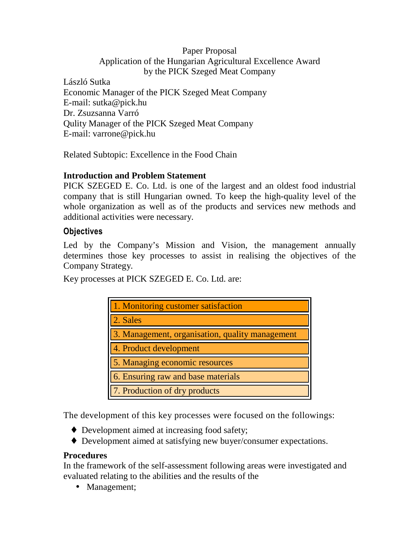### Paper Proposal Application of the Hungarian Agricultural Excellence Award by the PICK Szeged Meat Company

László Sutka Economic Manager of the PICK Szeged Meat Company E-mail: sutka@pick.hu Dr. Zsuzsanna Varró Qulity Manager of the PICK Szeged Meat Company E-mail: varrone@pick.hu

Related Subtopic: Excellence in the Food Chain

# **Introduction and Problem Statement**

PICK SZEGED E. Co. Ltd. is one of the largest and an oldest food industrial company that is still Hungarian owned. To keep the high-quality level of the whole organization as well as of the products and services new methods and additional activities were necessary.

### Objectives

Led by the Company's Mission and Vision, the management annually determines those key processes to assist in realising the objectives of the Company Strategy.

Key processes at PICK SZEGED E. Co. Ltd. are:

| 1. Monitoring customer satisfaction             |
|-------------------------------------------------|
| 2. Sales                                        |
| 3. Management, organisation, quality management |
| 4. Product development                          |
| 5. Managing economic resources                  |
| 6. Ensuring raw and base materials              |
| 7. Production of dry products                   |

The development of this key processes were focused on the followings:

- ♦ Development aimed at increasing food safety;
- ♦ Development aimed at satisfying new buyer/consumer expectations.

#### **Procedures**

In the framework of the self-assessment following areas were investigated and evaluated relating to the abilities and the results of the

• Management;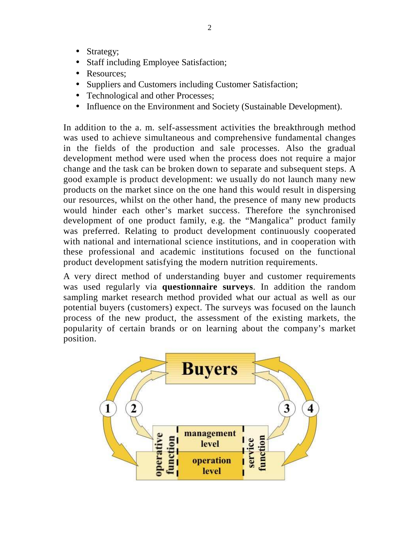- Strategy;
- Staff including Employee Satisfaction;
- Resources:
- Suppliers and Customers including Customer Satisfaction;
- Technological and other Processes;
- Influence on the Environment and Society (Sustainable Development).

In addition to the a. m. self-assessment activities the breakthrough method was used to achieve simultaneous and comprehensive fundamental changes in the fields of the production and sale processes. Also the gradual development method were used when the process does not require a major change and the task can be broken down to separate and subsequent steps. A good example is product development: we usually do not launch many new products on the market since on the one hand this would result in dispersing our resources, whilst on the other hand, the presence of many new products would hinder each other's market success. Therefore the synchronised development of one product family, e.g. the "Mangalica" product family was preferred. Relating to product development continuously cooperated with national and international science institutions, and in cooperation with these professional and academic institutions focused on the functional product development satisfying the modern nutrition requirements.

A very direct method of understanding buyer and customer requirements was used regularly via **questionnaire surveys**. In addition the random sampling market research method provided what our actual as well as our potential buyers (customers) expect. The surveys was focused on the launch process of the new product, the assessment of the existing markets, the popularity of certain brands or on learning about the company's market position.